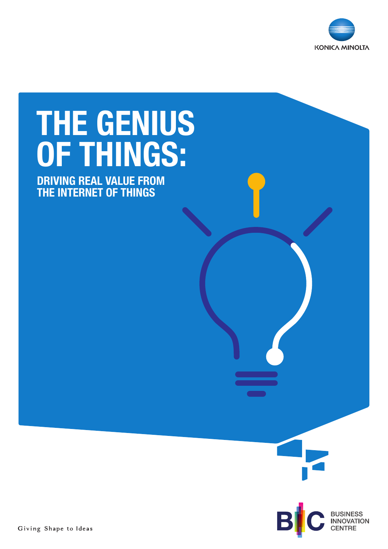

# THE GENIUS OF THINGS:

DRIVING REAL VALUE FROM THE INTERNET OF THINGS

B



**BUSINESS<br>INNOVATION**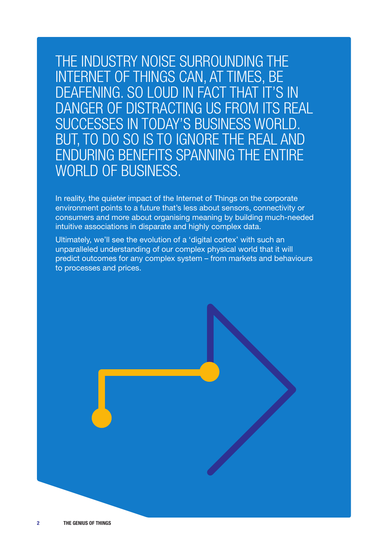THE INDUSTRY NOISE SURROUNDING THE INTERNET OF THINGS CAN, AT TIMES, BE DEAFENING. SO LOUD IN FACT THAT IT'S IN DANGER OF DISTRACTING US FROM ITS REAL SUCCESSES IN TODAY'S BUSINESS WORLD. BUT, TO DO SO IS TO IGNORE THE REAL AND ENDURING BENEFITS SPANNING THE ENTIRE WORLD OF BUSINESS.

In reality, the quieter impact of the Internet of Things on the corporate environment points to a future that's less about sensors, connectivity or consumers and more about organising meaning by building much-needed intuitive associations in disparate and highly complex data.

Ultimately, we'll see the evolution of a 'digital cortex' with such an unparalleled understanding of our complex physical world that it will predict outcomes for any complex system – from markets and behaviours to processes and prices.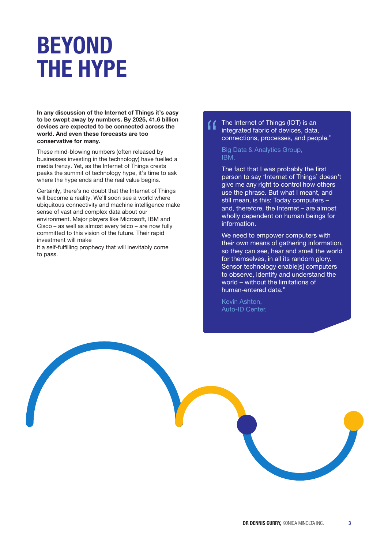## BEYOND THE HYPE

In any discussion of the Internet of Things it's easy to be swept away by numbers. By 2025, 41.6 billion devices are expected to be connected across the world. And even these forecasts are too conservative for many.

These mind-blowing numbers (often released by businesses investing in the technology) have fuelled a media frenzy. Yet, as the Internet of Things crests peaks the summit of technology hype, it's time to ask where the hype ends and the real value begins.

Certainly, there's no doubt that the Internet of Things will become a reality. We'll soon see a world where ubiquitous connectivity and machine intelligence make sense of vast and complex data about our environment. Major players like Microsoft, IBM and Cisco – as well as almost every telco – are now fully committed to this vision of the future. Their rapid investment will make

it a self-fulfilling prophecy that will inevitably come to pass.

### The Internet of Things (IOT) is an integrated fabric of devices, data, connections, processes, and people."

### Big Data & Analytics Group, IBM.

The fact that I was probably the first person to say 'Internet of Things' doesn't give me any right to control how others use the phrase. But what I meant, and still mean, is this: Today computers – and, therefore, the Internet – are almost wholly dependent on human beings for information.

We need to empower computers with their own means of gathering information, so they can see, hear and smell the world for themselves, in all its random glory. Sensor technology enable[s] computers to observe, identify and understand the world – without the limitations of human-entered data."

Kevin Ashton, Auto-ID Center.

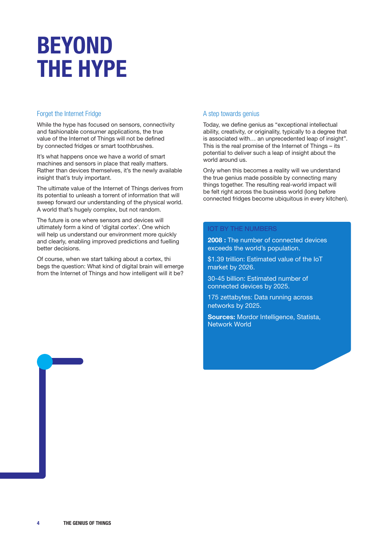## BEYOND THE HYPE

### Forget the Internet Fridge

While the hype has focused on sensors, connectivity and fashionable consumer applications, the true value of the Internet of Things will not be defined by connected fridges or smart toothbrushes.

It's what happens once we have a world of smart machines and sensors in place that really matters. Rather than devices themselves, it's the newly available insight that's truly important.

The ultimate value of the Internet of Things derives from its potential to unleash a torrent of information that will sweep forward our understanding of the physical world. A world that's hugely complex, but not random.

The future is one where sensors and devices will ultimately form a kind of 'digital cortex'. One which will help us understand our environment more quickly and clearly, enabling improved predictions and fuelling better decisions.

Of course, when we start talking about a cortex, thi begs the question: What kind of digital brain will emerge from the Internet of Things and how intelligent will it be?

### A step towards genius

Today, we define genius as "exceptional intellectual ability, creativity, or originality, typically to a degree that is associated with… an unprecedented leap of insight". This is the real promise of the Internet of Things – its potential to deliver such a leap of insight about the world around us.

Only when this becomes a reality will we understand the true genius made possible by connecting many things together. The resulting real-world impact will be felt right across the business world (long before connected fridges become ubiquitous in every kitchen).

### IOT BY THE NUMBERS

2008 : The number of connected devices exceeds the world's population.

\$1.39 trillion: Estimated value of the IoT market by 2026.

30-45 billion: Estimated number of connected devices by 2025.

175 zettabytes: Data running across networks by 2025.

Sources: Mordor Intelligence, Statista, Network World

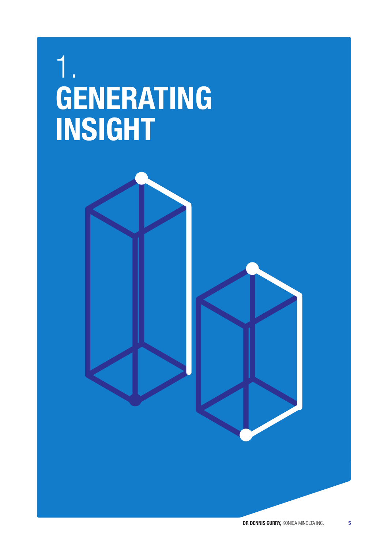## 1. GENERATING INSIGHT

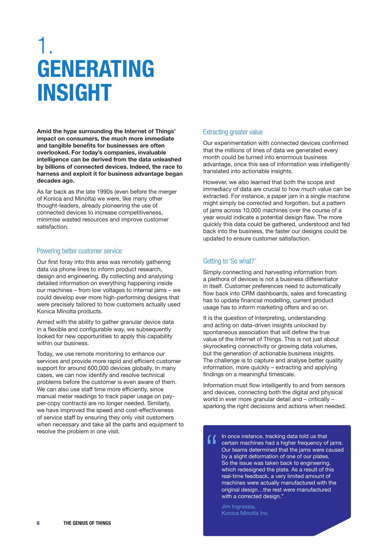## 1. GENERATING INSIGHT

Amid the hype surrounding the Internet of Things' impact on consumers, the much more immediate and tangible benefits for businesses are often overlooked. For today's companies, invaluable intelligence can be derived from the data unleashed by billions of connected devices. Indeed, the race to harness and exploit it for business advantage began decades ago.

As far back as the late 1990s (even before the merger of Konica and Minolta) we were, like many other thought-leaders, already pioneering the use of connected devices to increase competitiveness, minimise wasted resources and improve customer satisfaction.

#### Powering better customer service

Our first foray into this area was remotely gathering data via phone lines to inform product research, design and engineering. By collecting and analysing detailed information on everything happening inside our machines – from low voltages to internal jams – we could develop ever more high-performing designs that were precisely tailored to how customers actually used Konica Minolta products.

Armed with the ability to gather granular device data in a flexible and configurable way, we subsequently looked for new opportunities to apply this capability within our business.

Today, we use remote monitoring to enhance our services and provide more rapid and efficient customer support for around 600,000 devices globally. In many cases, we can now identify and resolve technical problems before the customer is even aware of them. We can also use staff time more efficiently, since manual meter readings to track paper usage on payper-copy contracts are no longer needed. Similarly, we have improved the speed and cost-effectiveness of service staff by ensuring they only visit customers when necessary and take all the parts and equipment to resolve the problem in one visit.

### Extracting greater value

Our experimentation with connected devices confirmed that the millions of lines of data we generated every month could be turned into enormous business advantage, once this sea of information was intelligently translated into actionable insights.

However, we also learned that both the scope and immediacy of data are crucial to how much value can be extracted. For instance, a paper jam in a single machine might simply be corrected and forgotten, but a pattern of jams across 10,000 machines over the course of a year would indicate a potential design flaw. The more quickly this data could be gathered, understood and fed back into the business, the faster our designs could be updated to ensure customer satisfaction.

### Getting to 'So what?'

Simply connecting and harvesting information from a plethora of devices is not a business differentiator in itself. Customer preferences need to automatically flow back into CRM dashboards, sales and forecasting has to update financial modelling, current product usage has to inform marketing offers and so on.

It is the question of interpreting, understanding and acting on data-driven insights unlocked by spontaneous association that will define the true value of the Internet of Things. This is not just about skyrocketing connectivity or growing data volumes, but the generation of actionable business insights. The challenge is to capture and analyse better quality information, more quickly – extracting and applying findings on a meaningful timescale.

Information must flow intelligently to and from sensors and devices, connecting both the digital and physical world in ever more granular detail and – critically – sparking the right decisions and actions when needed.

In once instance, tracking data told us that certain machines had a higher frequency of jams. Our teams determined that the jams were caused by a slight deformation of one of our plates. So the issue was taken back to engineering, which redesigned the plate. As a result of this real-time feedback, a very limited amount of machines were actually manufactured with the original design…the rest were manufactured with a corrected design."

Jim Ingrassia, Konica Minolta Inc.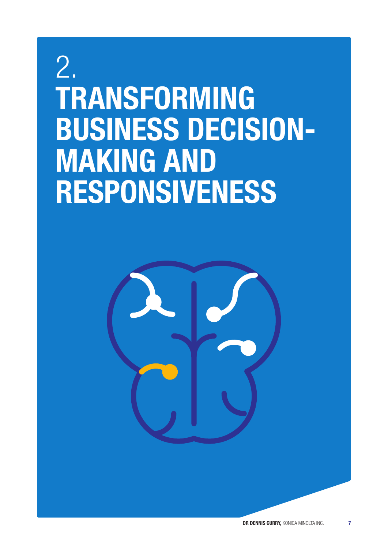## 2. TRANSFORMING BUSINESS DECISION-MAKING AND RESPONSIVENESS

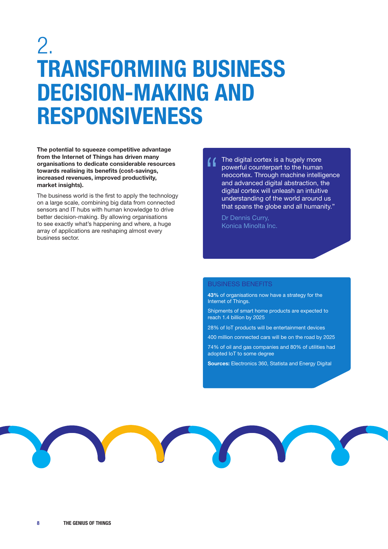### 2. TRANSFORMING BUSINESS DECISION-MAKING AND RESPONSIVENESS

The potential to squeeze competitive advantage from the Internet of Things has driven many organisations to dedicate considerable resources towards realising its benefits (cost-savings, increased revenues, improved productivity, market insights).

The business world is the first to apply the technology on a large scale, combining big data from connected sensors and IT hubs with human knowledge to drive better decision-making. By allowing organisations to see exactly what's happening and where, a huge array of applications are reshaping almost every business sector.

The digital cortex is a hugely more powerful counterpart to the human neocortex. Through machine intelligence and advanced digital abstraction, the digital cortex will unleash an intuitive understanding of the world around us that spans the globe and all humanity."

Dr Dennis Curry, Konica Minolta Inc.

### BUSINESS BENEFITS

43% of organisations now have a strategy for the Internet of Things.

Shipments of smart home products are expected to reach 1.4 billion by 2025

28% of IoT products will be entertainment devices

400 million connected cars will be on the road by 2025

74% of oil and gas companies and 80% of utilities had adopted IoT to some degree

Sources: [Electronics 360,](https://electronics360.globalspec.com/article/16543/smart-home-shipments-to-surpass-1-4-billion-in-2025) [Statista](https://www.statista.com/topics/1918/connected-cars/#:~:text=They%20are%20a%20quickly%20growing,some%20237%20million%20in%202021) and [Energy Digital](https://energydigital.com/oil-and-gas/iot-adoption-grows-utilities-and-oil-and-gas-inmarsat)

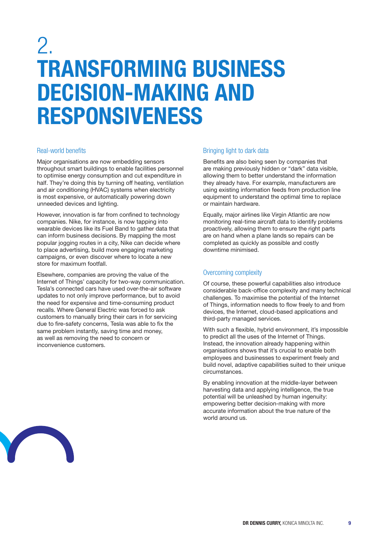### 2. TRANSFORMING BUSINESS DECISION-MAKING AND RESPONSIVENESS

### Real-world benefits

Major organisations are now embedding sensors throughout smart buildings to enable facilities personnel to optimise energy consumption and cut expenditure in half. They're doing this by turning off heating, ventilation and air conditioning (HVAC) systems when electricity is most expensive, or automatically powering down unneeded devices and lighting.

However, innovation is far from confined to technology companies. Nike, for instance, is now tapping into wearable devices like its Fuel Band to gather data that can inform business decisions. By mapping the most popular jogging routes in a city, Nike can decide where to place advertising, build more engaging marketing campaigns, or even discover where to locate a new store for maximum footfall.

Elsewhere, companies are proving the value of the Internet of Things' capacity for two-way communication. Tesla's connected cars have used over-the-air software updates to not only improve performance, but to avoid the need for expensive and time-consuming product recalls. Where General Electric was forced to ask customers to manually bring their cars in for servicing due to fire-safety concerns, Tesla was able to fix the same problem instantly, saving time and money, as well as removing the need to concern or inconvenience customers.

### Bringing light to dark data

Benefits are also being seen by companies that are making previously hidden or "dark" data visible, allowing them to better understand the information they already have. For example, manufacturers are using existing information feeds from production line equipment to understand the optimal time to replace or maintain hardware.

Equally, major airlines like Virgin Atlantic are now monitoring real-time aircraft data to identify problems proactively, allowing them to ensure the right parts are on hand when a plane lands so repairs can be completed as quickly as possible and costly downtime minimised.

### Overcoming complexity

Of course, these powerful capabilities also introduce considerable back-office complexity and many technical challenges. To maximise the potential of the Internet of Things, information needs to flow freely to and from devices, the Internet, cloud-based applications and third-party managed services.

With such a flexible, hybrid environment, it's impossible to predict all the uses of the Internet of Things. Instead, the innovation already happening within organisations shows that it's crucial to enable both employees and businesses to experiment freely and build novel, adaptive capabilities suited to their unique circumstances.

By enabling innovation at the middle-layer between harvesting data and applying intelligence, the true potential will be unleashed by human ingenuity: empowering better decision-making with more accurate information about the true nature of the world around us.

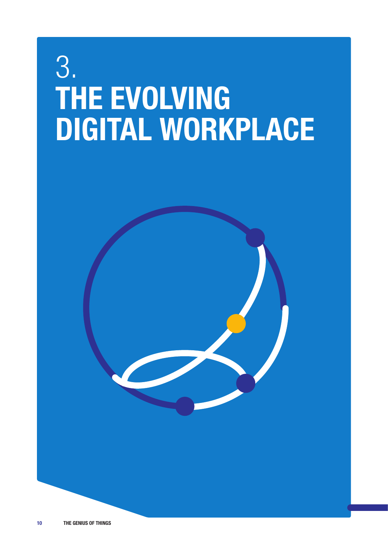## 3. THE EVOLVING DIGITAL WORKPLACE

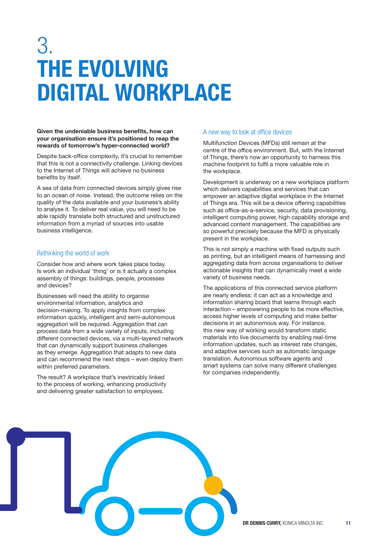## 3. THE EVOLVING DIGITAL WORKPLACE

#### Given the undeniable business benefits, how can your organisation ensure it's positioned to reap the rewards of tomorrow's hyper-connected world?

Despite back-office complexity, it's crucial to remember that this is not a connectivity challenge. Linking devices to the Internet of Things will achieve no business benefits by itself.

A sea of data from connected devices simply gives rise to an ocean of noise. Instead, the outcome relies on the quality of the data available and your business's ability to analyse it. To deliver real value, you will need to be able rapidly translate both structured and unstructured information from a myriad of sources into usable business intelligence.

### Rethinking the world of work

Consider how and where work takes place today. Is work an individual 'thing' or is it actually a complex assembly of things: buildings, people, processes and devices?

Businesses will need the ability to organise environmental information, analytics and decision-making. To apply insights from complex information quickly, intelligent and semi-autonomous aggregation will be required. Aggregation that can process data from a wide variety of inputs, including different connected devices, via a multi-layered network that can dynamically support business challenges as they emerge. Aggregation that adapts to new data and can recommend the next steps – even deploy them within preferred parameters.

The result? A workplace that's inextricably linked to the process of working, enhancing productivity and delivering greater satisfaction to employees.

### A new way to look at office devices

Multifunction Devices (MFDs) still remain at the centre of the office environment. But, with the Internet of Things, there's now an opportunity to harness this machine footprint to fulfil a more valuable role in the workplace.

Development is underway on a new workplace platform which delivers capabilities and services that can empower an adaptive digital workplace in the Internet of Things era. This will be a device offering capabilities such as office-as-a-service, security, data provisioning, intelligent computing power, high capability storage and advanced content management. The capabilities are so powerful precisely because the MFD is physically present in the workplace.

This is not simply a machine with fixed outputs such as printing, but an intelligent means of harnessing and aggregating data from across organisations to deliver actionable insights that can dynamically meet a wide variety of business needs.

The applications of this connected service platform are nearly endless: it can act as a knowledge and information sharing board that learns through each interaction – empowering people to be more effective, access higher levels of computing and make better decisions in an autonomous way. For instance, this new way of working would transform static materials into live documents by enabling real-time information updates, such as interest rate changes, and adaptive services such as automatic language translation. Autonomous software agents and smart systems can solve many different challenges for companies independently.

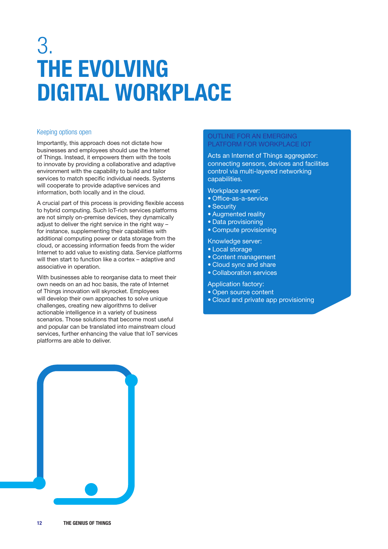## 3. THE EVOLVING DIGITAL WORKPLACE

### Keeping options open

Importantly, this approach does not dictate how businesses and employees should use the Internet of Things. Instead, it empowers them with the tools to innovate by providing a collaborative and adaptive environment with the capability to build and tailor services to match specific individual needs. Systems will cooperate to provide adaptive services and information, both locally and in the cloud.

A crucial part of this process is providing flexible access to hybrid computing. Such IoT-rich services platforms are not simply on-premise devices, they dynamically adjust to deliver the right service in the right way – for instance, supplementing their capabilities with additional computing power or data storage from the cloud, or accessing information feeds from the wider Internet to add value to existing data. Service platforms will then start to function like a cortex – adaptive and associative in operation.

With businesses able to reorganise data to meet their own needs on an ad hoc basis, the rate of Internet of Things innovation will skyrocket. Employees will develop their own approaches to solve unique challenges, creating new algorithms to deliver actionable intelligence in a variety of business scenarios. Those solutions that become most useful and popular can be translated into mainstream cloud services, further enhancing the value that IoT services platforms are able to deliver.

### OUTLINE FOR AN EMERGING PLATFORM FOR WORKPLACE IOT

Acts an Internet of Things aggregator: connecting sensors, devices and facilities control via multi-layered networking capabilities.

Workplace server:

- Office-as-a-service
- Security
- Augmented reality
- Data provisioning
- Compute provisioning

Knowledge server:

- Local storage
- Content management
- Cloud sync and share
- Collaboration services

Application factory:

- Open source content
- Cloud and private app provisioning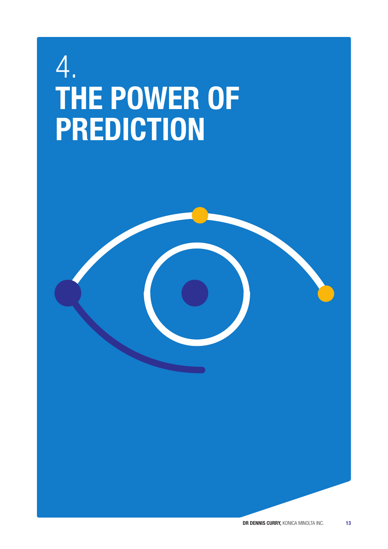## 4. THE POWER OF PREDICTION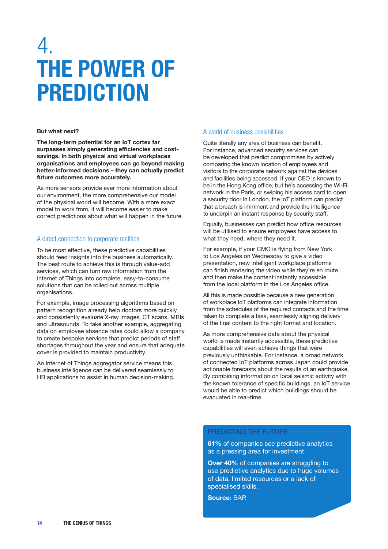### 4. THE POWER OF PREDICTION

#### But what next?

The long-term potential for an IoT cortex far surpasses simply generating efficiencies and costsavings. In both physical and virtual workplaces organisations and employees can go beyond making better-informed decisions – they can actually predict future outcomes more accurately.

As more sensors provide ever more information about our environment, the more comprehensive our model of the physical world will become. With a more exact model to work from, it will become easier to make correct predictions about what will happen in the future.

### A direct connection to corporate realities

To be most effective, these predictive capabilities should feed insights into the business automatically. The best route to achieve this is through value-add services, which can turn raw information from the Internet of Things into complete, easy-to-consume solutions that can be rolled out across multiple organisations.

For example, image processing algorithms based on pattern recognition already help doctors more quickly and consistently evaluate X-ray images, CT scans, MRIs and ultrasounds. To take another example, aggregating data on employee absence rates could allow a company to create bespoke services that predict periods of staff shortages throughout the year and ensure that adequate cover is provided to maintain productivity.

An Internet of Things aggregator service means this business intelligence can be delivered seamlessly to HR applications to assist in human decision-making.

#### A world of business possibilities

Quite literally any area of business can benefit. For instance, advanced security services can be developed that predict compromises by actively comparing the known location of employees and visitors to the corporate network against the devices and facilities being accessed. If your CEO is known to be in the Hong Kong office, but he's accessing the Wi-Fi network in the Paris, or swiping his access card to open a security door in London, the IoT platform can predict that a breach is imminent and provide the intelligence to underpin an instant response by security staff.

Equally, businesses can predict how office resources will be utilised to ensure employees have access to what they need, where they need it.

For example, if your CMO is flying from New York to Los Angeles on Wednesday to give a video presentation, new intelligent workplace platforms can finish rendering the video while they're en route and then make the content instantly accessible from the local platform in the Los Angeles office.

All this is made possible because a new generation of workplace IoT platforms can integrate information from the schedules of the required contacts and the time taken to complete a task, seamlessly aligning delivery of the final content to the right format and location.

As more comprehensive data about the physical world is made instantly accessible, these predictive capabilities will even achieve things that were previously unthinkable. For instance, a broad network of connected IoT platforms across Japan could provide actionable forecasts about the results of an earthquake. By combining information on local seismic activity with the known tolerance of specific buildings, an IoT service would be able to predict which buildings should be evacuated in real-time.

### PREDICTING THE FUTURE

61% of companies see predictive analytics as a pressing area for investment.

Over 40% of companies are struggling to use predictive analytics due to huge volumes of data, limited resources or a lack of specialised skills.

Source: SAP.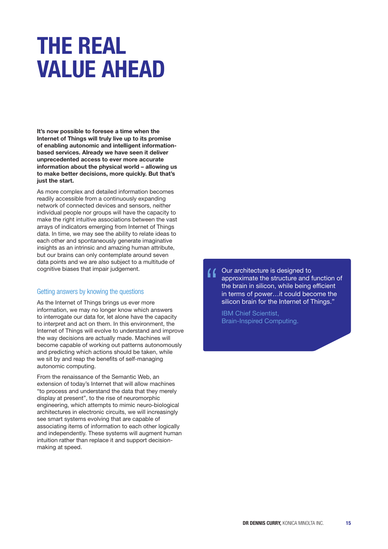## THE REAL VALUE AHEAD

It's now possible to foresee a time when the Internet of Things will truly live up to its promise of enabling autonomic and intelligent informationbased services. Already we have seen it deliver unprecedented access to ever more accurate information about the physical world – allowing us to make better decisions, more quickly. But that's just the start.

As more complex and detailed information becomes readily accessible from a continuously expanding network of connected devices and sensors, neither individual people nor groups will have the capacity to make the right intuitive associations between the vast arrays of indicators emerging from Internet of Things data. In time, we may see the ability to relate ideas to each other and spontaneously generate imaginative insights as an intrinsic and amazing human attribute, but our brains can only contemplate around seven data points and we are also subject to a multitude of cognitive biases that impair judgement.

### Getting answers by knowing the questions

As the Internet of Things brings us ever more information, we may no longer know which answers to interrogate our data for, let alone have the capacity to interpret and act on them. In this environment, the Internet of Things will evolve to understand and improve the way decisions are actually made. Machines will become capable of working out patterns autonomously and predicting which actions should be taken, while we sit by and reap the benefits of self-managing autonomic computing.

From the renaissance of the Semantic Web, an extension of today's Internet that will allow machines "to process and understand the data that they merely display at present", to the rise of neuromorphic engineering, which attempts to mimic neuro-biological architectures in electronic circuits, we will increasingly see smart systems evolving that are capable of associating items of information to each other logically and independently. These systems will augment human intuition rather than replace it and support decisionmaking at speed.

Our architecture is designed to " approximate the structure and function of the brain in silicon, while being efficient in terms of power…it could become the silicon brain for the Internet of Things."

IBM Chief Scientist, Brain-Inspired Computing.